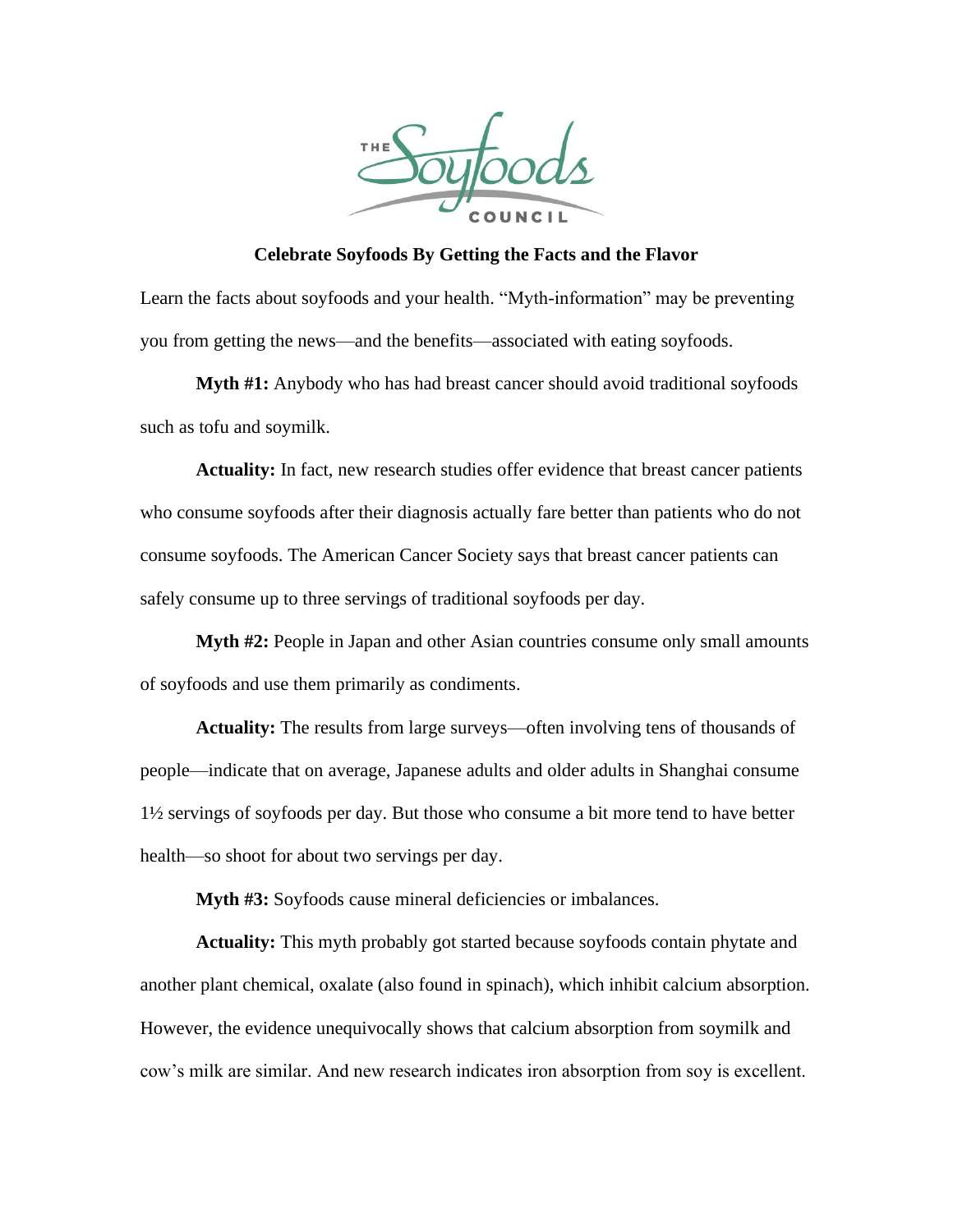

**Celebrate Soyfoods By Getting the Facts and the Flavor**

Learn the facts about soyfoods and your health. "Myth-information" may be preventing you from getting the news—and the benefits—associated with eating soyfoods.

**Myth #1:** Anybody who has had breast cancer should avoid traditional soyfoods such as tofu and soymilk.

**Actuality:** In fact, new research studies offer evidence that breast cancer patients who consume soyfoods after their diagnosis actually fare better than patients who do not consume soyfoods. The American Cancer Society says that breast cancer patients can safely consume up to three servings of traditional soyfoods per day.

**Myth #2:** People in Japan and other Asian countries consume only small amounts of soyfoods and use them primarily as condiments.

**Actuality:** The results from large surveys—often involving tens of thousands of people—indicate that on average, Japanese adults and older adults in Shanghai consume 1½ servings of soyfoods per day. But those who consume a bit more tend to have better health—so shoot for about two servings per day.

**Myth #3:** Soyfoods cause mineral deficiencies or imbalances.

**Actuality:** This myth probably got started because soyfoods contain phytate and another plant chemical, oxalate (also found in spinach), which inhibit calcium absorption. However, the evidence unequivocally shows that calcium absorption from soymilk and cow's milk are similar. And new research indicates iron absorption from soy is excellent.